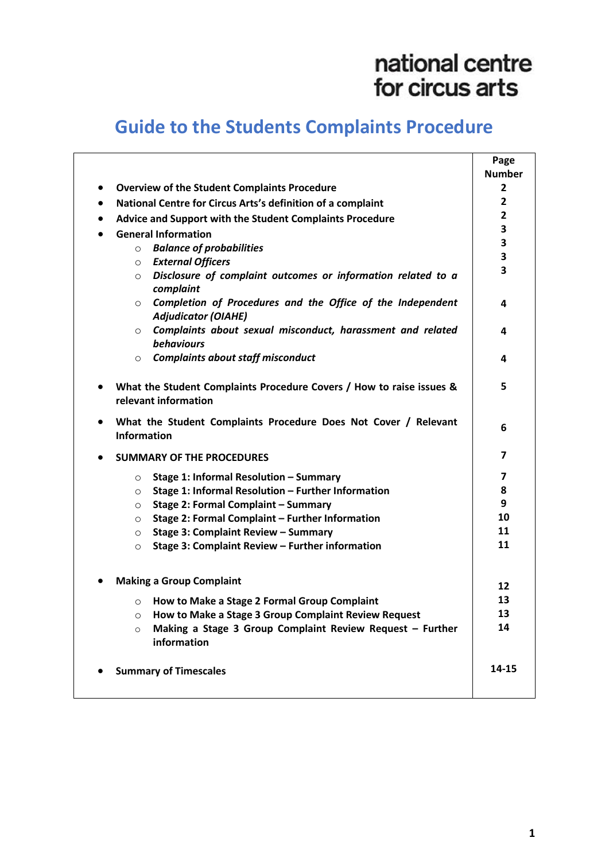# national centre for circus arts

# **Guide to the Students Complaints Procedure**

|                                                                                              | Page           |
|----------------------------------------------------------------------------------------------|----------------|
|                                                                                              | <b>Number</b>  |
| <b>Overview of the Student Complaints Procedure</b><br>$\bullet$                             | $\overline{2}$ |
| National Centre for Circus Arts's definition of a complaint<br>$\bullet$                     | $\overline{2}$ |
| Advice and Support with the Student Complaints Procedure                                     | 2              |
| <b>General Information</b><br>$\bullet$                                                      | 3              |
| <b>Balance of probabilities</b><br>$\circ$                                                   | 3              |
| <b>External Officers</b><br>$\circ$                                                          | 3              |
| Disclosure of complaint outcomes or information related to a<br>$\circ$<br>complaint         | 3              |
| o Completion of Procedures and the Office of the Independent<br><b>Adjudicator (OIAHE)</b>   | 4              |
| Complaints about sexual misconduct, harassment and related<br>$\circ$<br>behaviours          | 4              |
| $\circ$ Complaints about staff misconduct                                                    | 4              |
| What the Student Complaints Procedure Covers / How to raise issues &<br>relevant information | 5              |
| What the Student Complaints Procedure Does Not Cover / Relevant<br><b>Information</b>        | 6              |
| <b>SUMMARY OF THE PROCEDURES</b>                                                             | 7              |
| Stage 1: Informal Resolution - Summary<br>$\circ$                                            | 7              |
| Stage 1: Informal Resolution - Further Information<br>$\circ$                                | 8              |
| Stage 2: Formal Complaint - Summary<br>$\circ$                                               | 9              |
| Stage 2: Formal Complaint - Further Information<br>$\circ$                                   | 10             |
| Stage 3: Complaint Review - Summary<br>$\circ$                                               | 11             |
| Stage 3: Complaint Review - Further information<br>$\circ$                                   | 11             |
| <b>Making a Group Complaint</b>                                                              | 12             |
| How to Make a Stage 2 Formal Group Complaint<br>$\circ$                                      | 13             |
| O How to Make a Stage 3 Group Complaint Review Request                                       | 13             |
| Making a Stage 3 Group Complaint Review Request - Further<br>$\circ$<br>information          | 14             |
| <b>Summary of Timescales</b>                                                                 | 14-15          |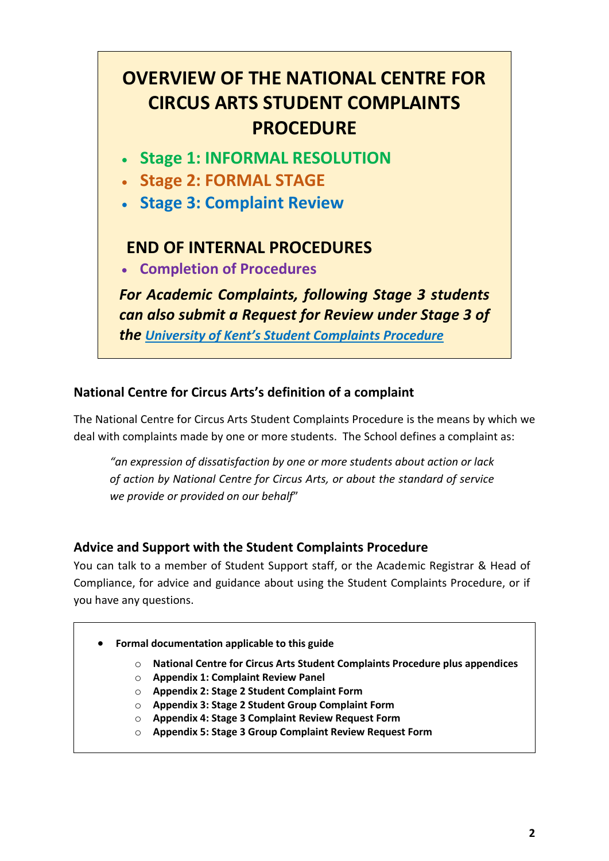# **OVERVIEW OF THE NATIONAL CENTRE FOR CIRCUS ARTS STUDENT COMPLAINTS PROCEDURE**

- **Stage 1: INFORMAL RESOLUTION**
- **Stage 2: FORMAL STAGE**
- **Stage 3: Complaint Review**

# **END OF INTERNAL PROCEDURES**

**Completion of Procedures**

*For Academic Complaints, following Stage 3 students can also submit a Request for Review under Stage 3 of the [University of Kent's Student Complaints Procedure](https://www.kent.ac.uk/studentservices/files/Student-Complaints-Procedure.pdf)*

# **National Centre for Circus Arts's definition of a complaint**

The National Centre for Circus Arts Student Complaints Procedure is the means by which we deal with complaints made by one or more students. The School defines a complaint as:

*"an expression of dissatisfaction by one or more students about action or lack of action by National Centre for Circus Arts, or about the standard of service we provide or provided on our behalf*"

# **Advice and Support with the Student Complaints Procedure**

You can talk to a member of Student Support staff, or the Academic Registrar & Head of Compliance, for advice and guidance about using the Student Complaints Procedure, or if you have any questions.

- **Formal documentation applicable to this guide** 
	- o **National Centre for Circus Arts Student Complaints Procedure plus appendices**
	- o **Appendix 1: Complaint Review Panel**
	- o **Appendix 2: Stage 2 Student Complaint Form**
	- o **Appendix 3: Stage 2 Student Group Complaint Form**
	- o **Appendix 4: Stage 3 Complaint Review Request Form**
	- o **Appendix 5: Stage 3 Group Complaint Review Request Form**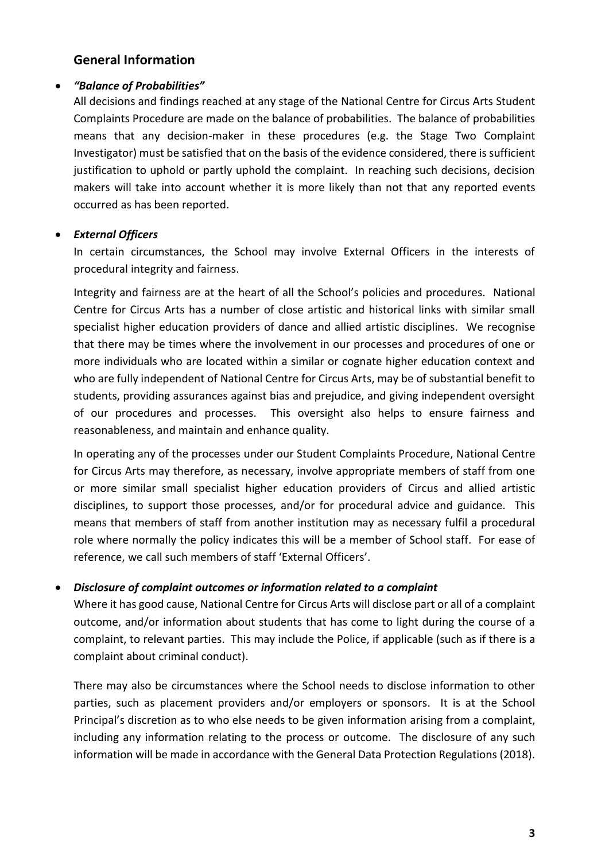### **General Information**

#### *"Balance of Probabilities"*

All decisions and findings reached at any stage of the National Centre for Circus Arts Student Complaints Procedure are made on the balance of probabilities. The balance of probabilities means that any decision-maker in these procedures (e.g. the Stage Two Complaint Investigator) must be satisfied that on the basis of the evidence considered, there is sufficient justification to uphold or partly uphold the complaint. In reaching such decisions, decision makers will take into account whether it is more likely than not that any reported events occurred as has been reported.

#### *External Officers*

In certain circumstances, the School may involve External Officers in the interests of procedural integrity and fairness.

Integrity and fairness are at the heart of all the School's policies and procedures. National Centre for Circus Arts has a number of close artistic and historical links with similar small specialist higher education providers of dance and allied artistic disciplines. We recognise that there may be times where the involvement in our processes and procedures of one or more individuals who are located within a similar or cognate higher education context and who are fully independent of National Centre for Circus Arts, may be of substantial benefit to students, providing assurances against bias and prejudice, and giving independent oversight of our procedures and processes. This oversight also helps to ensure fairness and reasonableness, and maintain and enhance quality.

In operating any of the processes under our Student Complaints Procedure, National Centre for Circus Arts may therefore, as necessary, involve appropriate members of staff from one or more similar small specialist higher education providers of Circus and allied artistic disciplines, to support those processes, and/or for procedural advice and guidance. This means that members of staff from another institution may as necessary fulfil a procedural role where normally the policy indicates this will be a member of School staff. For ease of reference, we call such members of staff 'External Officers'.

#### *Disclosure of complaint outcomes or information related to a complaint*

Where it has good cause, National Centre for Circus Arts will disclose part or all of a complaint outcome, and/or information about students that has come to light during the course of a complaint, to relevant parties. This may include the Police, if applicable (such as if there is a complaint about criminal conduct).

There may also be circumstances where the School needs to disclose information to other parties, such as placement providers and/or employers or sponsors. It is at the School Principal's discretion as to who else needs to be given information arising from a complaint, including any information relating to the process or outcome. The disclosure of any such information will be made in accordance with the General Data Protection Regulations (2018).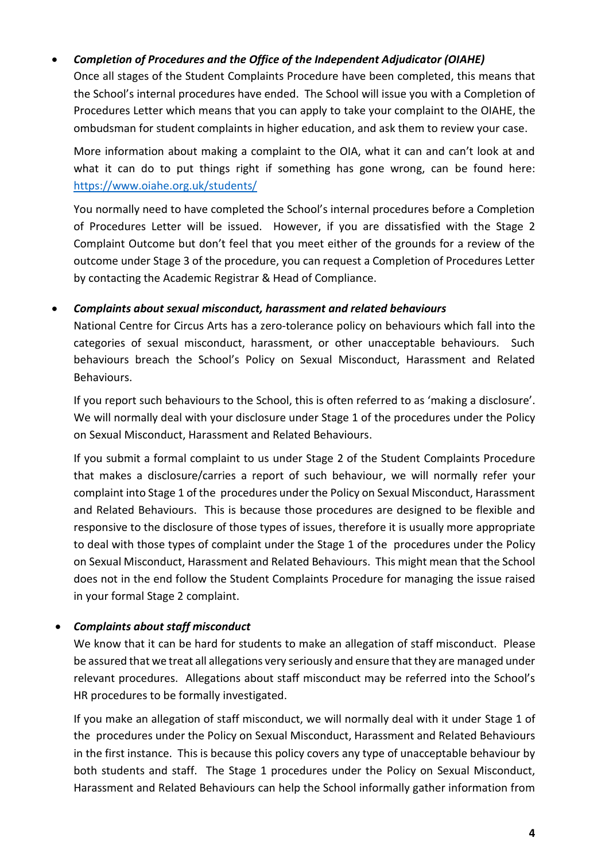### *Completion of Procedures and the Office of the Independent Adjudicator (OIAHE)*

Once all stages of the Student Complaints Procedure have been completed, this means that the School's internal procedures have ended. The School will issue you with a Completion of Procedures Letter which means that you can apply to take your complaint to the OIAHE, the ombudsman for student complaints in higher education, and ask them to review your case.

More information about making a complaint to the OIA, what it can and can't look at and what it can do to put things right if something has gone wrong, can be found here: <https://www.oiahe.org.uk/students/>

You normally need to have completed the School's internal procedures before a Completion of Procedures Letter will be issued. However, if you are dissatisfied with the Stage 2 Complaint Outcome but don't feel that you meet either of the grounds for a review of the outcome under Stage 3 of the procedure, you can request a Completion of Procedures Letter by contacting the Academic Registrar & Head of Compliance.

#### *Complaints about sexual misconduct, harassment and related behaviours*

National Centre for Circus Arts has a zero-tolerance policy on behaviours which fall into the categories of sexual misconduct, harassment, or other unacceptable behaviours. Such behaviours breach the School's [Policy on Sexual Misconduct, Harassment and Related](https://www.rambertschool.org.uk/courses/policies-and-procedures/)  [Behaviours.](https://www.rambertschool.org.uk/courses/policies-and-procedures/)

If you report such behaviours to the School, this is often referred to as 'making a disclosure'. We will normally deal with your disclosure under Stage 1 of the procedures under the [Policy](https://www.rambertschool.org.uk/courses/policies-and-procedures/)  [on Sexual Misconduct, Harassment and Related Behaviours.](https://www.rambertschool.org.uk/courses/policies-and-procedures/)

If you submit a formal complaint to us under Stage 2 of the Student Complaints Procedure that makes a disclosure/carries a report of such behaviour, we will normally refer your complaint into Stage 1 of the procedures under the [Policy on Sexual Misconduct, Harassment](https://www.rambertschool.org.uk/courses/policies-and-procedures/)  [and Related Behaviours.](https://www.rambertschool.org.uk/courses/policies-and-procedures/) This is because those procedures are designed to be flexible and responsive to the disclosure of those types of issues, therefore it is usually more appropriate to deal with those types of complaint under the Stage 1 of the procedures under the [Policy](https://www.rambertschool.org.uk/courses/policies-and-procedures/)  [on Sexual Misconduct, Harassment and Related Behaviours.](https://www.rambertschool.org.uk/courses/policies-and-procedures/) This might mean that the School does not in the end follow the Student Complaints Procedure for managing the issue raised in your formal Stage 2 complaint.

#### *Complaints about staff misconduct*

We know that it can be hard for students to make an allegation of staff misconduct. Please be assured that we treat all allegations very seriously and ensure that they are managed under relevant procedures. Allegations about staff misconduct may be referred into the School's HR procedures to be formally investigated.

If you make an allegation of staff misconduct, we will normally deal with it under Stage 1 of the procedures under the [Policy on Sexual Misconduct, Harassment and Related Behaviours](https://www.rambertschool.org.uk/courses/policies-and-procedures/) in the first instance. This is because this policy covers any type of unacceptable behaviour by both students and staff. The Stage 1 procedures under the [Policy on Sexual Misconduct,](https://www.rambertschool.org.uk/courses/policies-and-procedures/)  [Harassment and Related Behaviours](https://www.rambertschool.org.uk/courses/policies-and-procedures/) can help the School informally gather information from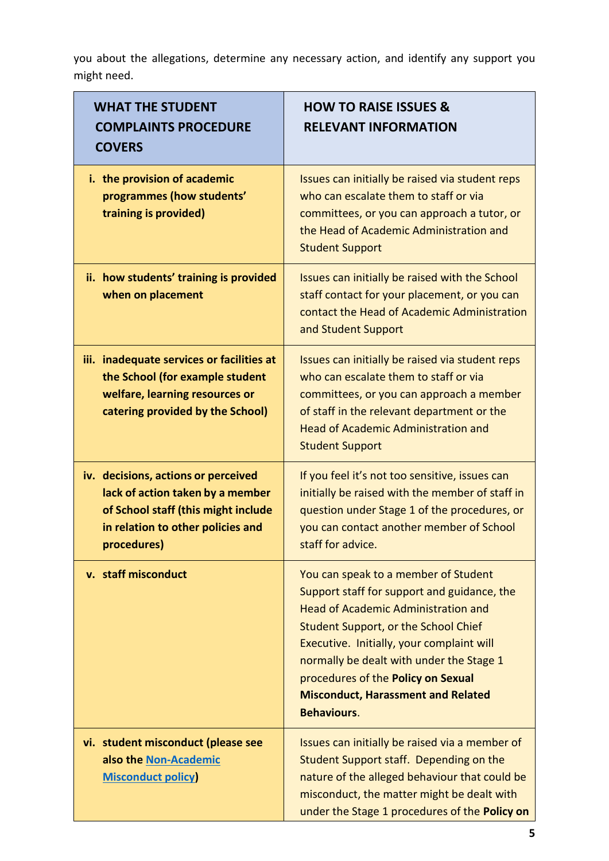you about the allegations, determine any necessary action, and identify any support you might need.

| <b>WHAT THE STUDENT</b><br><b>COMPLAINTS PROCEDURE</b><br><b>COVERS</b>                                                                                            | <b>HOW TO RAISE ISSUES &amp;</b><br><b>RELEVANT INFORMATION</b>                                                                                                                                                                                                                                                                                                                    |
|--------------------------------------------------------------------------------------------------------------------------------------------------------------------|------------------------------------------------------------------------------------------------------------------------------------------------------------------------------------------------------------------------------------------------------------------------------------------------------------------------------------------------------------------------------------|
| i. the provision of academic<br>programmes (how students'<br>training is provided)                                                                                 | Issues can initially be raised via student reps<br>who can escalate them to staff or via<br>committees, or you can approach a tutor, or<br>the Head of Academic Administration and<br><b>Student Support</b>                                                                                                                                                                       |
| ii. how students' training is provided<br>when on placement                                                                                                        | Issues can initially be raised with the School<br>staff contact for your placement, or you can<br>contact the Head of Academic Administration<br>and Student Support                                                                                                                                                                                                               |
| iii. inadequate services or facilities at<br>the School (for example student<br>welfare, learning resources or<br>catering provided by the School)                 | Issues can initially be raised via student reps<br>who can escalate them to staff or via<br>committees, or you can approach a member<br>of staff in the relevant department or the<br><b>Head of Academic Administration and</b><br><b>Student Support</b>                                                                                                                         |
| iv. decisions, actions or perceived<br>lack of action taken by a member<br>of School staff (this might include<br>in relation to other policies and<br>procedures) | If you feel it's not too sensitive, issues can<br>initially be raised with the member of staff in<br>question under Stage 1 of the procedures, or<br>you can contact another member of School<br>staff for advice.                                                                                                                                                                 |
| v. staff misconduct                                                                                                                                                | You can speak to a member of Student<br>Support staff for support and guidance, the<br><b>Head of Academic Administration and</b><br><b>Student Support, or the School Chief</b><br>Executive. Initially, your complaint will<br>normally be dealt with under the Stage 1<br>procedures of the Policy on Sexual<br><b>Misconduct, Harassment and Related</b><br><b>Behaviours.</b> |
| vi. student misconduct (please see<br>also the Non-Academic<br><b>Misconduct policy</b>                                                                            | Issues can initially be raised via a member of<br>Student Support staff. Depending on the<br>nature of the alleged behaviour that could be<br>misconduct, the matter might be dealt with<br>under the Stage 1 procedures of the Policy on                                                                                                                                          |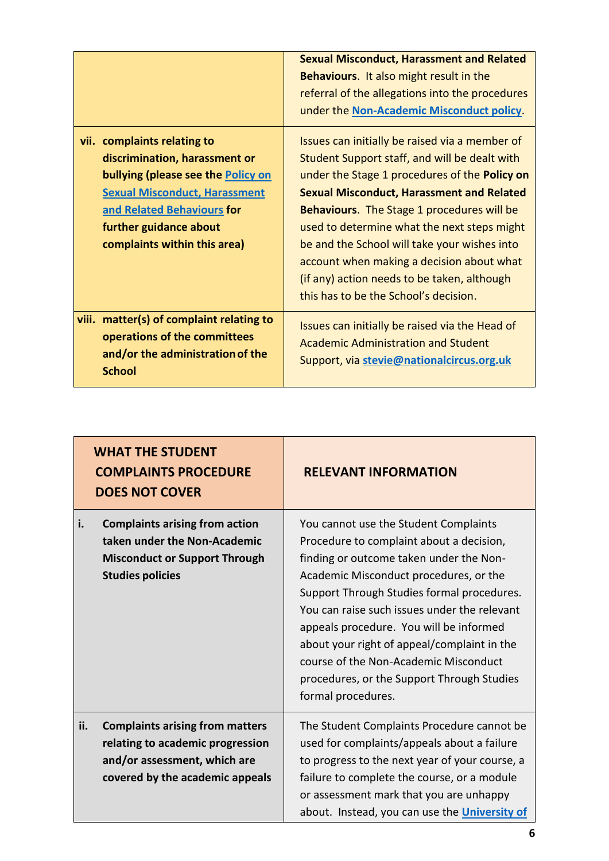|                                                                                                                                                                                                                                       | <b>Sexual Misconduct, Harassment and Related</b><br><b>Behaviours.</b> It also might result in the<br>referral of the allegations into the procedures<br>under the Non-Academic Misconduct policy.                                                                                                                                                                                                                                                                                            |
|---------------------------------------------------------------------------------------------------------------------------------------------------------------------------------------------------------------------------------------|-----------------------------------------------------------------------------------------------------------------------------------------------------------------------------------------------------------------------------------------------------------------------------------------------------------------------------------------------------------------------------------------------------------------------------------------------------------------------------------------------|
| complaints relating to<br>vii.<br>discrimination, harassment or<br>bullying (please see the Policy on<br><b>Sexual Misconduct, Harassment</b><br>and Related Behaviours for<br>further guidance about<br>complaints within this area) | Issues can initially be raised via a member of<br>Student Support staff, and will be dealt with<br>under the Stage 1 procedures of the Policy on<br><b>Sexual Misconduct, Harassment and Related</b><br><b>Behaviours.</b> The Stage 1 procedures will be<br>used to determine what the next steps might<br>be and the School will take your wishes into<br>account when making a decision about what<br>(if any) action needs to be taken, although<br>this has to be the School's decision. |
| matter(s) of complaint relating to<br>viii.<br>operations of the committees<br>and/or the administration of the<br><b>School</b>                                                                                                      | Issues can initially be raised via the Head of<br><b>Academic Administration and Student</b><br>Support, via stevie@nationalcircus.org.uk                                                                                                                                                                                                                                                                                                                                                     |

|     | <b>WHAT THE STUDENT</b><br><b>COMPLAINTS PROCEDURE</b><br><b>DOES NOT COVER</b>                                                               | <b>RELEVANT INFORMATION</b>                                                                                                                                                                                                                                                                                                                                                                                                                                                 |
|-----|-----------------------------------------------------------------------------------------------------------------------------------------------|-----------------------------------------------------------------------------------------------------------------------------------------------------------------------------------------------------------------------------------------------------------------------------------------------------------------------------------------------------------------------------------------------------------------------------------------------------------------------------|
| i.  | <b>Complaints arising from action</b><br>taken under the Non-Academic<br><b>Misconduct or Support Through</b><br><b>Studies policies</b>      | You cannot use the Student Complaints<br>Procedure to complaint about a decision,<br>finding or outcome taken under the Non-<br>Academic Misconduct procedures, or the<br>Support Through Studies formal procedures.<br>You can raise such issues under the relevant<br>appeals procedure. You will be informed<br>about your right of appeal/complaint in the<br>course of the Non-Academic Misconduct<br>procedures, or the Support Through Studies<br>formal procedures. |
| ii. | <b>Complaints arising from matters</b><br>relating to academic progression<br>and/or assessment, which are<br>covered by the academic appeals | The Student Complaints Procedure cannot be<br>used for complaints/appeals about a failure<br>to progress to the next year of your course, a<br>failure to complete the course, or a module<br>or assessment mark that you are unhappy<br>about. Instead, you can use the University of                                                                                                                                                                                      |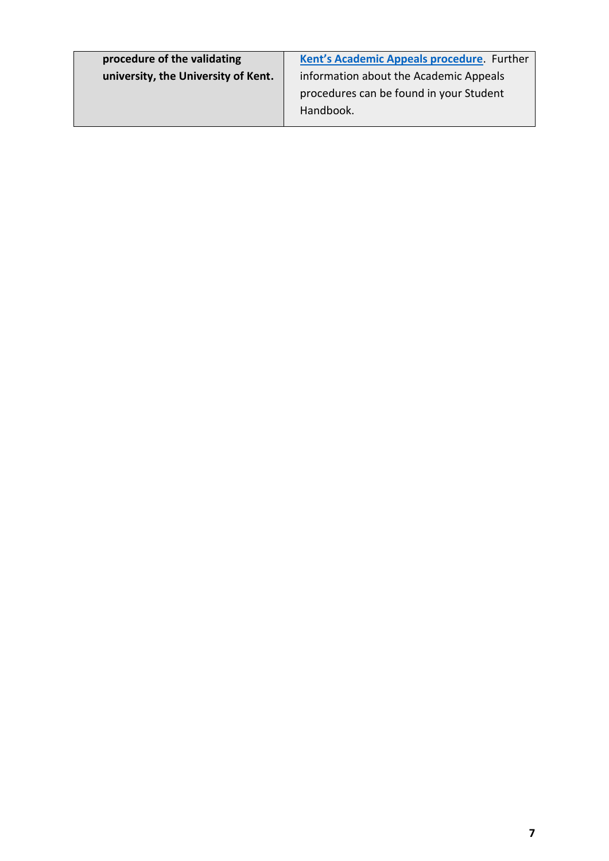| procedure of the validating         | Kent's Academic Appeals procedure. Further           |
|-------------------------------------|------------------------------------------------------|
| university, the University of Kent. | information about the Academic Appeals               |
|                                     | procedures can be found in your Student<br>Handbook. |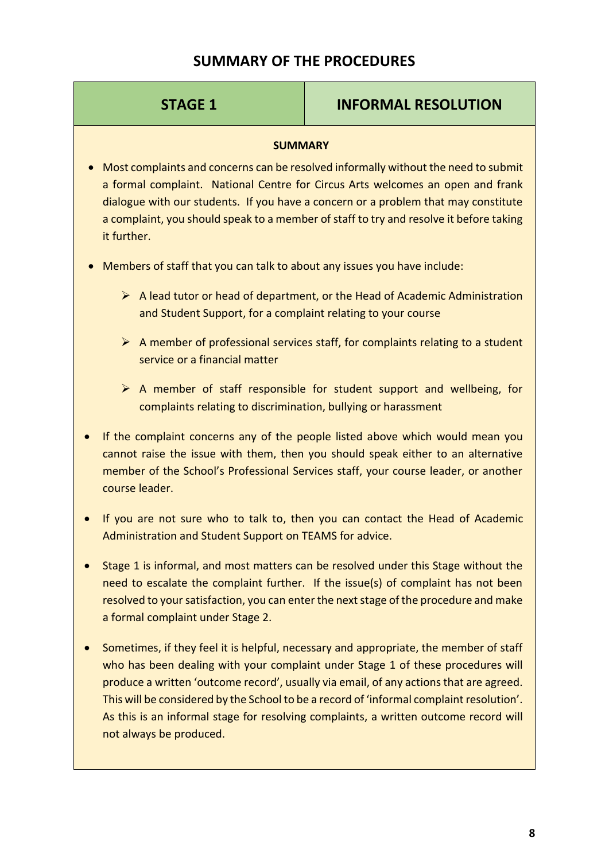# **SUMMARY OF THE PROCEDURES**

## **STAGE 1 INFORMAL RESOLUTION**

#### **SUMMARY**

- Most complaints and concerns can be resolved informally without the need to submit a formal complaint. National Centre for Circus Arts welcomes an open and frank dialogue with our students. If you have a concern or a problem that may constitute a complaint, you should speak to a member of staff to try and resolve it before taking it further.
- Members of staff that you can talk to about any issues you have include:
	- $\triangleright$  A lead tutor or head of department, or the Head of Academic Administration and Student Support, for a complaint relating to your course
	- $\triangleright$  A member of professional services staff, for complaints relating to a student service or a financial matter
	- $\triangleright$  A member of staff responsible for student support and wellbeing, for complaints relating to discrimination, bullying or harassment
- If the complaint concerns any of the people listed above which would mean you cannot raise the issue with them, then you should speak either to an alternative member of the School's Professional Services staff, your course leader, or another course leader.
- If you are not sure who to talk to, then you can contact the Head of Academic Administration and Student Support on TEAMS for advice.
- Stage 1 is informal, and most matters can be resolved under this Stage without the need to escalate the complaint further. If the issue(s) of complaint has not been resolved to your satisfaction, you can enter the next stage of the procedure and make a formal complaint under Stage 2.
- Sometimes, if they feel it is helpful, necessary and appropriate, the member of staff who has been dealing with your complaint under Stage 1 of these procedures will produce a written 'outcome record', usually via email, of any actions that are agreed. This will be considered by the School to be a record of 'informal complaint resolution'. As this is an informal stage for resolving complaints, a written outcome record will not always be produced.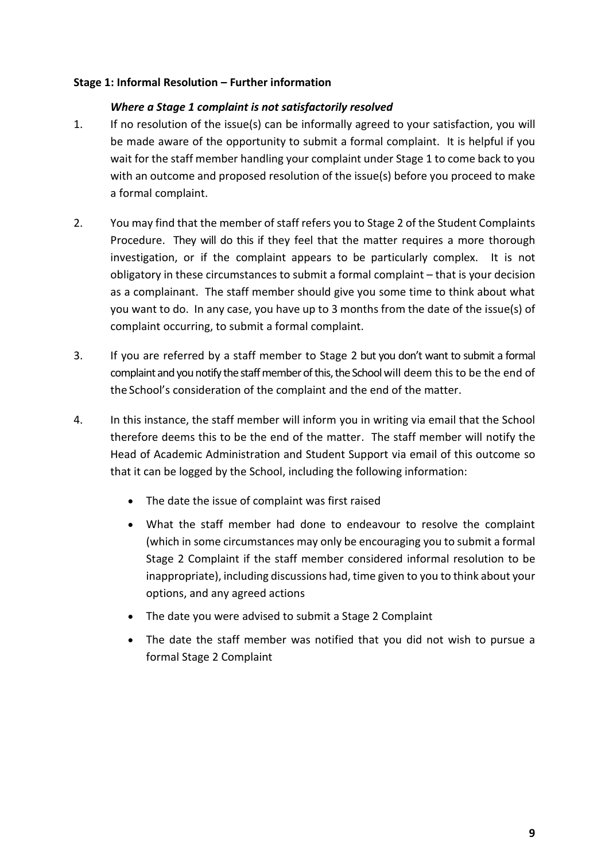#### **Stage 1: Informal Resolution – Further information**

#### *Where a Stage 1 complaint is not satisfactorily resolved*

- 1. If no resolution of the issue(s) can be informally agreed to your satisfaction, you will be made aware of the opportunity to submit a formal complaint. It is helpful if you wait for the staff member handling your complaint under Stage 1 to come back to you with an outcome and proposed resolution of the issue(s) before you proceed to make a formal complaint.
- 2. You may find that the member of staff refers you to Stage 2 of the Student Complaints Procedure. They will do this if they feel that the matter requires a more thorough investigation, or if the complaint appears to be particularly complex. It is not obligatory in these circumstances to submit a formal complaint – that is your decision as a complainant. The staff member should give you some time to think about what you want to do. In any case, you have up to 3 months from the date of the issue(s) of complaint occurring, to submit a formal complaint.
- 3. If you are referred by a staff member to Stage 2 but you don't want to submit a formal complaint and you notify the staff member of this, the School will deem this to be the end of the School's consideration of the complaint and the end of the matter.
- 4. In this instance, the staff member will inform you in writing via email that the School therefore deems this to be the end of the matter. The staff member will notify the Head of Academic Administration and Student Support via email of this outcome so that it can be logged by the School, including the following information:
	- The date the issue of complaint was first raised
	- What the staff member had done to endeavour to resolve the complaint (which in some circumstances may only be encouraging you to submit a formal Stage 2 Complaint if the staff member considered informal resolution to be inappropriate), including discussions had, time given to you to think about your options, and any agreed actions
	- The date you were advised to submit a Stage 2 Complaint
	- The date the staff member was notified that you did not wish to pursue a formal Stage 2 Complaint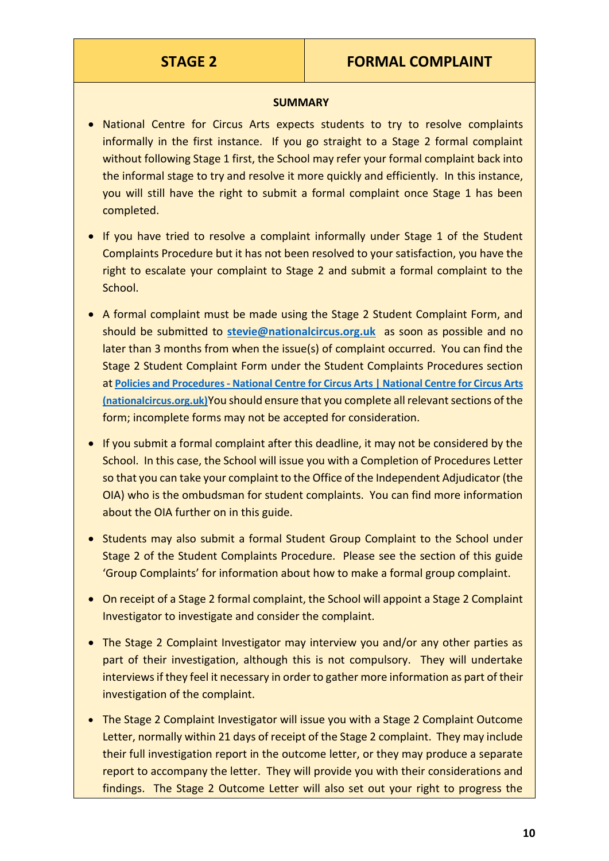#### **SUMMARY**

- National Centre for Circus Arts expects students to try to resolve complaints informally in the first instance. If you go straight to a Stage 2 formal complaint without following Stage 1 first, the School may refer your formal complaint back into the informal stage to try and resolve it more quickly and efficiently. In this instance, you will still have the right to submit a formal complaint once Stage 1 has been completed.
- If you have tried to resolve a complaint informally under Stage 1 of the Student Complaints Procedure but it has not been resolved to your satisfaction, you have the right to escalate your complaint to Stage 2 and submit a formal complaint to the School.
- A formal complaint must be made using the Stage 2 Student Complaint Form, and should be submitted to **[stevie@nationalcircus.org.uk](mailto:stevie@nationalcircus.org.uk)** as soon as possible and no later than 3 months from when the issue(s) of complaint occurred. You can find the Stage 2 Student Complaint Form under the Student Complaints Procedures section at **Policies and Procedures - [National Centre for Circus Arts | National Centre for Circus Arts](https://www.nationalcircus.org.uk/student-support-and-faqs/policies-and-procedures/)  [\(nationalcircus.org.uk\)](https://www.nationalcircus.org.uk/student-support-and-faqs/policies-and-procedures/)**You should ensure that you complete all relevant sections of the form; incomplete forms may not be accepted for consideration.
- If you submit a formal complaint after this deadline, it may not be considered by the School. In this case, the School will issue you with a Completion of Procedures Letter so that you can take your complaint to the Office of the Independent Adjudicator (the OIA) who is the ombudsman for student complaints. You can find more information about the OIA further on in this guide.
- Students may also submit a formal Student Group Complaint to the School under Stage 2 of the Student Complaints Procedure. Please see the section of this guide 'Group Complaints' for information about how to make a formal group complaint.
- On receipt of a Stage 2 formal complaint, the School will appoint a Stage 2 Complaint Investigator to investigate and consider the complaint.
- The Stage 2 Complaint Investigator may interview you and/or any other parties as part of their investigation, although this is not compulsory. They will undertake interviews if they feel it necessary in order to gather more information as part of their investigation of the complaint.
- The Stage 2 Complaint Investigator will issue you with a Stage 2 Complaint Outcome Letter, normally within 21 days of receipt of the Stage 2 complaint. They may include their full investigation report in the outcome letter, or they may produce a separate report to accompany the letter. They will provide you with their considerations and findings. The Stage 2 Outcome Letter will also set out your right to progress the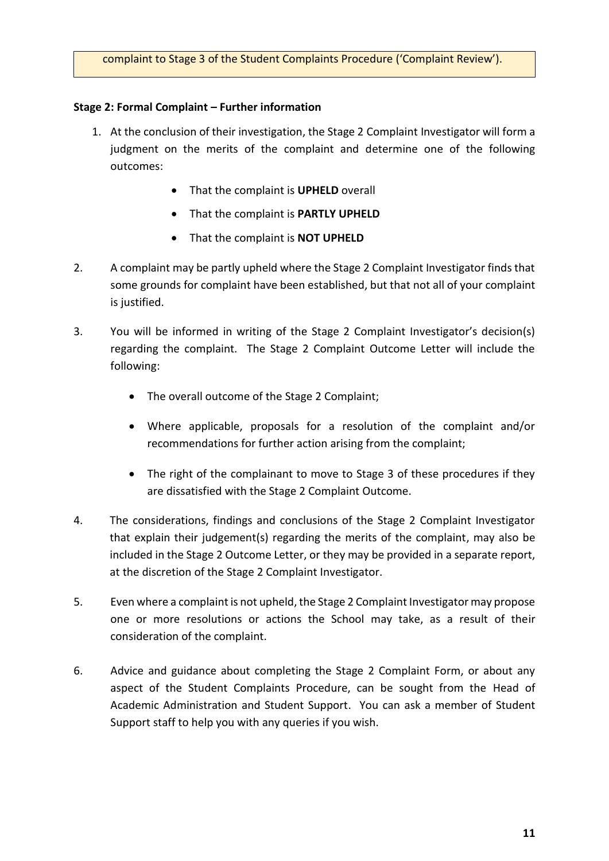#### complaint to Stage 3 of the Student Complaints Procedure ('Complaint Review').

#### **Stage 2: Formal Complaint – Further information**

- 1. At the conclusion of their investigation, the Stage 2 Complaint Investigator will form a judgment on the merits of the complaint and determine one of the following outcomes:
	- That the complaint is **UPHELD** overall
	- That the complaint is **PARTLY UPHELD**
	- That the complaint is **NOT UPHELD**
- 2. A complaint may be partly upheld where the Stage 2 Complaint Investigator finds that some grounds for complaint have been established, but that not all of your complaint is justified.
- 3. You will be informed in writing of the Stage 2 Complaint Investigator's decision(s) regarding the complaint. The Stage 2 Complaint Outcome Letter will include the following:
	- The overall outcome of the Stage 2 Complaint;
	- Where applicable, proposals for a resolution of the complaint and/or recommendations for further action arising from the complaint;
	- The right of the complainant to move to Stage 3 of these procedures if they are dissatisfied with the Stage 2 Complaint Outcome.
- 4. The considerations, findings and conclusions of the Stage 2 Complaint Investigator that explain their judgement(s) regarding the merits of the complaint, may also be included in the Stage 2 Outcome Letter, or they may be provided in a separate report, at the discretion of the Stage 2 Complaint Investigator.
- 5. Even where a complaint is not upheld, the Stage 2 Complaint Investigator may propose one or more resolutions or actions the School may take, as a result of their consideration of the complaint.
- 6. Advice and guidance about completing the Stage 2 Complaint Form, or about any aspect of the Student Complaints Procedure, can be sought from the Head of Academic Administration and Student Support. You can ask a member of Student Support staff to help you with any queries if you wish.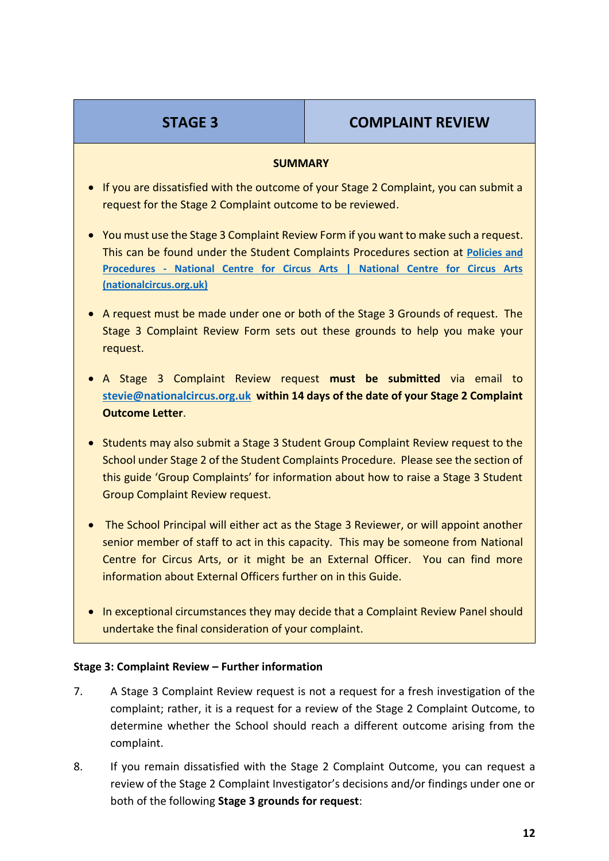# **STAGE 3 COMPLAINT REVIEW**

#### **SUMMARY**

- If you are dissatisfied with the outcome of your Stage 2 Complaint, you can submit a request for the Stage 2 Complaint outcome to be reviewed.
- You must use the Stage 3 Complaint Review Form if you want to make such a request. This can be found under the Student Complaints Procedures section at **[Policies and](https://www.nationalcircus.org.uk/student-support-and-faqs/policies-and-procedures/)  Procedures - [National Centre for Circus Arts | National Centre for Circus Arts](https://www.nationalcircus.org.uk/student-support-and-faqs/policies-and-procedures/)  [\(nationalcircus.org.uk\)](https://www.nationalcircus.org.uk/student-support-and-faqs/policies-and-procedures/)**
- A request must be made under one or both of the Stage 3 Grounds of request. The Stage 3 Complaint Review Form sets out these grounds to help you make your request.
- A Stage 3 Complaint Review request **must be submitted** via email to **[stevie@nationalcircus.org.uk](mailto:stevie@nationalcircus.org.uk) within 14 days of the date of your Stage 2 Complaint Outcome Letter**.
- Students may also submit a Stage 3 Student Group Complaint Review request to the School under Stage 2 of the Student Complaints Procedure. Please see the section of this guide 'Group Complaints' for information about how to raise a Stage 3 Student Group Complaint Review request.
- The School Principal will either act as the Stage 3 Reviewer, or will appoint another senior member of staff to act in this capacity. This may be someone from National Centre for Circus Arts, or it might be an External Officer. You can find more information about External Officers further on in this Guide.
- In exceptional circumstances they may decide that a Complaint Review Panel should undertake the final consideration of your complaint.

#### **Stage 3: Complaint Review – Further information**

- 7. A Stage 3 Complaint Review request is not a request for a fresh investigation of the complaint; rather, it is a request for a review of the Stage 2 Complaint Outcome, to determine whether the School should reach a different outcome arising from the complaint.
- 8. If you remain dissatisfied with the Stage 2 Complaint Outcome, you can request a review of the Stage 2 Complaint Investigator's decisions and/or findings under one or both of the following **Stage 3 grounds for request**: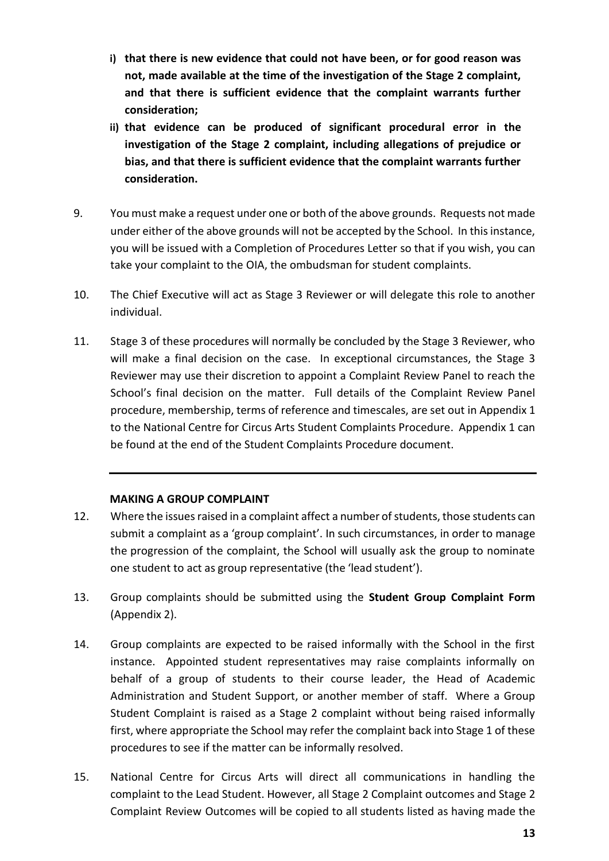- **i) that there is new evidence that could not have been, or for good reason was not, made available at the time of the investigation of the Stage 2 complaint, and that there is sufficient evidence that the complaint warrants further consideration;**
- **ii) that evidence can be produced of significant procedural error in the investigation of the Stage 2 complaint, including allegations of prejudice or bias, and that there is sufficient evidence that the complaint warrants further consideration.**
- 9. You must make a request under one or both of the above grounds. Requests not made under either of the above grounds will not be accepted by the School. In this instance, you will be issued with a Completion of Procedures Letter so that if you wish, you can take your complaint to the OIA, the ombudsman for student complaints.
- 10. The Chief Executive will act as Stage 3 Reviewer or will delegate this role to another individual.
- 11. Stage 3 of these procedures will normally be concluded by the Stage 3 Reviewer, who will make a final decision on the case. In exceptional circumstances, the Stage 3 Reviewer may use their discretion to appoint a Complaint Review Panel to reach the School's final decision on the matter. Full details of the Complaint Review Panel procedure, membership, terms of reference and timescales, are set out in Appendix 1 to the National Centre for Circus Arts Student Complaints Procedure. Appendix 1 can be found at the end of the Student Complaints Procedure document.

#### **MAKING A GROUP COMPLAINT**

- 12. Where the issues raised in a complaint affect a number of students, those students can submit a complaint as a 'group complaint'. In such circumstances, in order to manage the progression of the complaint, the School will usually ask the group to nominate one student to act as group representative (the 'lead student').
- 13. Group complaints should be submitted using the **Student Group Complaint Form** (Appendix 2).
- 14. Group complaints are expected to be raised informally with the School in the first instance. Appointed student representatives may raise complaints informally on behalf of a group of students to their course leader, the Head of Academic Administration and Student Support, or another member of staff. Where a Group Student Complaint is raised as a Stage 2 complaint without being raised informally first, where appropriate the School may refer the complaint back into Stage 1 of these procedures to see if the matter can be informally resolved.
- 15. National Centre for Circus Arts will direct all communications in handling the complaint to the Lead Student. However, all Stage 2 Complaint outcomes and Stage 2 Complaint Review Outcomes will be copied to all students listed as having made the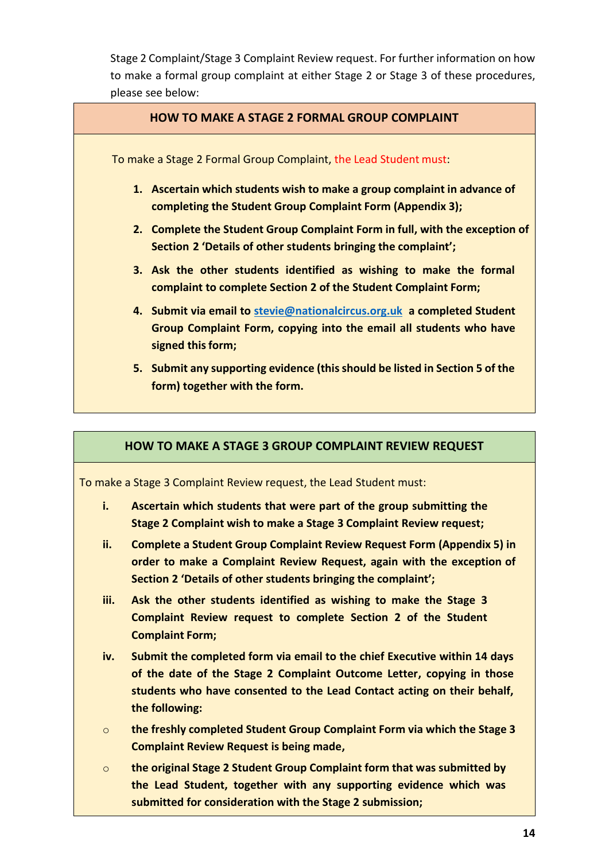Stage 2 Complaint/Stage 3 Complaint Review request. For further information on how to make a formal group complaint at either Stage 2 or Stage 3 of these procedures, please see below:



- **ii. Complete a Student Group Complaint Review Request Form (Appendix 5) in order to make a Complaint Review Request, again with the exception of Section 2 'Details of other students bringing the complaint';**
- **iii. Ask the other students identified as wishing to make the Stage 3 Complaint Review request to complete Section 2 of the Student Complaint Form;**
- **iv. Submit the completed form via email to the chief Executive within 14 days of the date of the Stage 2 Complaint Outcome Letter, copying in those students who have consented to the Lead Contact acting on their behalf, the following:**
- o **the freshly completed Student Group Complaint Form via which the Stage 3 Complaint Review Request is being made,**
- o **the original Stage 2 Student Group Complaint form that was submitted by the Lead Student, together with any supporting evidence which was submitted for consideration with the Stage 2 submission;**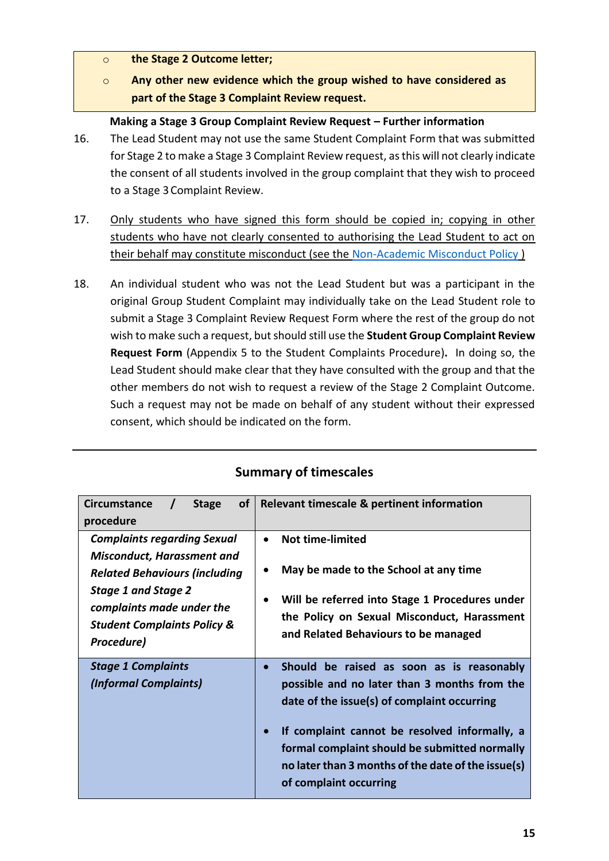#### o **the Stage 2 Outcome letter;**

## o **Any other new evidence which the group wished to have considered as part of the Stage 3 Complaint Review request.**

#### **Making a Stage 3 Group Complaint Review Request – Further information**

- 16. The Lead Student may not use the same Student Complaint Form that was submitted for Stage 2 to make a Stage 3 Complaint Review request, as this will not clearly indicate the consent of all students involved in the group complaint that they wish to proceed to a Stage 3Complaint Review.
- 17. Only students who have signed this form should be copied in; copying in other students who have not clearly consented to authorising the Lead Student to act on their behalf may constitute misconduct (see the [Non-Academic Misconduct Policy](https://www.nationalcircus.org.uk/app/uploads/2022/06/ncca-school-non-academic-misconduct-policy-appx.pdf) )
- 18. An individual student who was not the Lead Student but was a participant in the original Group Student Complaint may individually take on the Lead Student role to submit a Stage 3 Complaint Review Request Form where the rest of the group do not wish to make such a request, but should still use the **Student Group Complaint Review Request Form** (Appendix 5 to the Student Complaints Procedure)**.** In doing so, the Lead Student should make clear that they have consulted with the group and that the other members do not wish to request a review of the Stage 2 Complaint Outcome. Such a request may not be made on behalf of any student without their expressed consent, which should be indicated on the form.

| <b>of</b><br>Circumstance<br><b>Stage</b><br>procedure                                                                                                                                                                             | Relevant timescale & pertinent information                                                                                                                                                                                                                                                                                              |
|------------------------------------------------------------------------------------------------------------------------------------------------------------------------------------------------------------------------------------|-----------------------------------------------------------------------------------------------------------------------------------------------------------------------------------------------------------------------------------------------------------------------------------------------------------------------------------------|
| <b>Complaints regarding Sexual</b><br><b>Misconduct, Harassment and</b><br><b>Related Behaviours (including</b><br><b>Stage 1 and Stage 2</b><br>complaints made under the<br><b>Student Complaints Policy &amp;</b><br>Procedure) | Not time-limited<br>$\bullet$<br>May be made to the School at any time<br>Will be referred into Stage 1 Procedures under<br>$\bullet$<br>the Policy on Sexual Misconduct, Harassment<br>and Related Behaviours to be managed                                                                                                            |
| <b>Stage 1 Complaints</b><br>(Informal Complaints)                                                                                                                                                                                 | Should be raised as soon as is reasonably<br>$\bullet$<br>possible and no later than 3 months from the<br>date of the issue(s) of complaint occurring<br>If complaint cannot be resolved informally, a<br>formal complaint should be submitted normally<br>no later than 3 months of the date of the issue(s)<br>of complaint occurring |

## **Summary of timescales**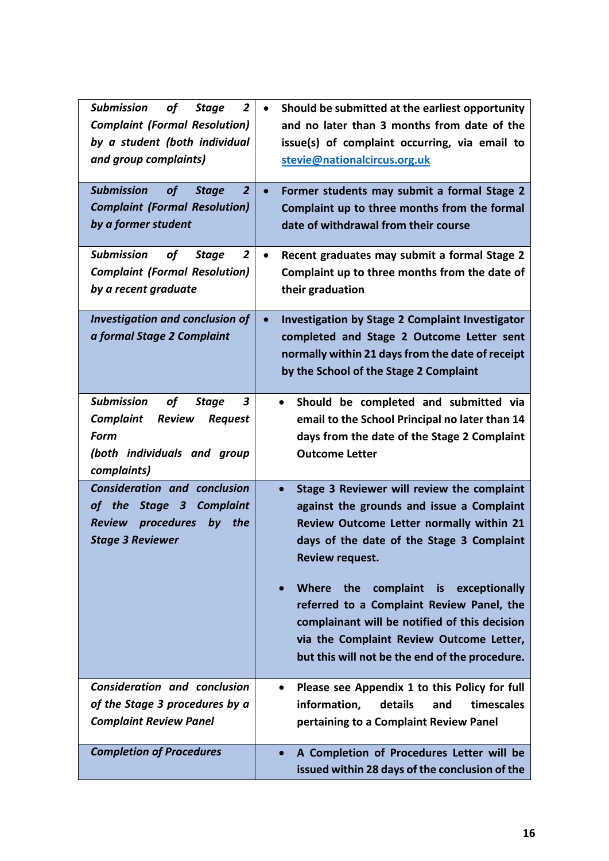| <b>Submission</b><br><b>of</b><br>$\overline{2}$<br><b>Stage</b> | Should be submitted at the earliest opportunity                     |
|------------------------------------------------------------------|---------------------------------------------------------------------|
| <b>Complaint (Formal Resolution)</b>                             | and no later than 3 months from date of the                         |
| by a student (both individual                                    | issue(s) of complaint occurring, via email to                       |
| and group complaints)                                            | stevie@nationalcircus.org.uk                                        |
|                                                                  |                                                                     |
| <b>Submission</b><br><b>of</b><br>$\overline{2}$<br><b>Stage</b> | Former students may submit a formal Stage 2                         |
| <b>Complaint (Formal Resolution)</b>                             | Complaint up to three months from the formal                        |
| by a former student                                              | date of withdrawal from their course                                |
| <b>Submission</b><br><b>of</b><br>$\overline{2}$<br><b>Stage</b> | Recent graduates may submit a formal Stage 2<br>$\bullet$           |
| <b>Complaint (Formal Resolution)</b>                             | Complaint up to three months from the date of                       |
| by a recent graduate                                             | their graduation                                                    |
| <b>Investigation and conclusion of</b>                           | <b>Investigation by Stage 2 Complaint Investigator</b><br>$\bullet$ |
| a formal Stage 2 Complaint                                       | completed and Stage 2 Outcome Letter sent                           |
|                                                                  | normally within 21 days from the date of receipt                    |
|                                                                  | by the School of the Stage 2 Complaint                              |
| <b>Submission</b><br>of<br>3<br><b>Stage</b>                     | Should be completed and submitted via<br>$\bullet$                  |
| <b>Complaint</b><br><b>Review</b><br><b>Request</b>              | email to the School Principal no later than 14                      |
| <b>Form</b>                                                      | days from the date of the Stage 2 Complaint                         |
| (both individuals and group                                      | <b>Outcome Letter</b>                                               |
| complaints)                                                      |                                                                     |
| <b>Consideration and conclusion</b>                              | Stage 3 Reviewer will review the complaint                          |
| of the Stage 3 Complaint                                         | against the grounds and issue a Complaint                           |
| <b>Review procedures</b><br>the<br>by                            | Review Outcome Letter normally within 21                            |
| <b>Stage 3 Reviewer</b>                                          | days of the date of the Stage 3 Complaint                           |
|                                                                  | Review request.                                                     |
|                                                                  | <b>Where</b><br>the<br>complaint is exceptionally                   |
|                                                                  | referred to a Complaint Review Panel, the                           |
|                                                                  | complainant will be notified of this decision                       |
|                                                                  | via the Complaint Review Outcome Letter,                            |
|                                                                  | but this will not be the end of the procedure.                      |
| <b>Consideration and conclusion</b>                              | Please see Appendix 1 to this Policy for full<br>$\bullet$          |
| of the Stage 3 procedures by a                                   | details<br>timescales<br>information,<br>and                        |
| <b>Complaint Review Panel</b>                                    | pertaining to a Complaint Review Panel                              |
|                                                                  |                                                                     |
| <b>Completion of Procedures</b>                                  | A Completion of Procedures Letter will be<br>$\bullet$              |
|                                                                  | issued within 28 days of the conclusion of the                      |